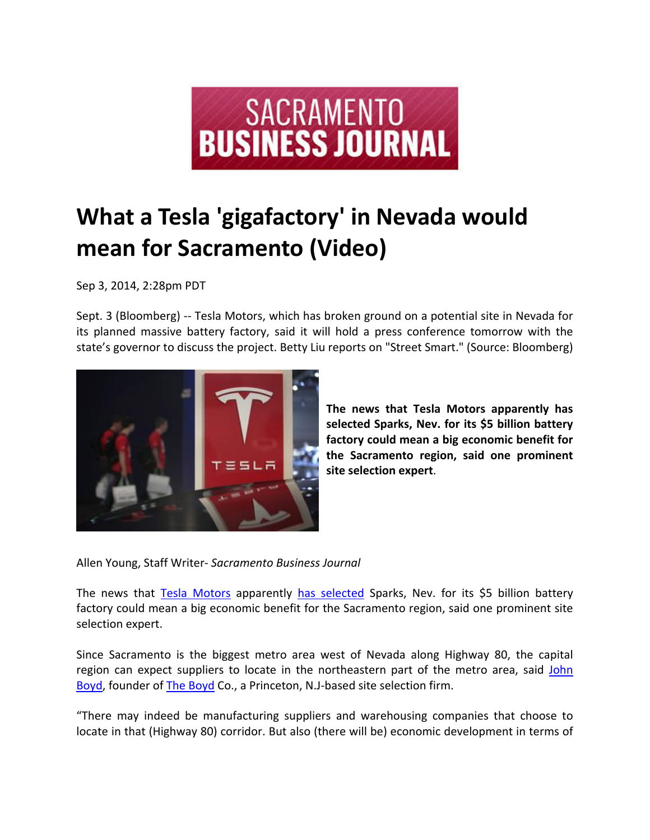

## **What a Tesla 'gigafactory' in Nevada would mean for Sacramento (Video)**

Sep 3, 2014, 2:28pm PDT

Sept. 3 (Bloomberg) ‐‐ Tesla Motors, which has broken ground on a potential site in Nevada for its planned massive battery factory, said it will hold a press conference tomorrow with the state's governor to discuss the project. Betty Liu reports on "Street Smart." (Source: Bloomberg)



**The news that Tesla Motors apparently has selected Sparks, Nev. for its \$5 billion battery factory could mean a big economic benefit for the Sacramento region, said one prominent site selection expert**.

Allen Young, Staff Writer‐ *Sacramento Business Journal*

The news that **Tesla Motors** apparently has selected Sparks, Nev. for its \$5 billion battery factory could mean a big economic benefit for the Sacramento region, said one prominent site selection expert.

Since Sacramento is the biggest metro area west of Nevada along Highway 80, the capital region can expect suppliers to locate in the northeastern part of the metro area, said John Boyd, founder of The Boyd Co., a Princeton, N.J‐based site selection firm.

"There may indeed be manufacturing suppliers and warehousing companies that choose to locate in that (Highway 80) corridor. But also (there will be) economic development in terms of